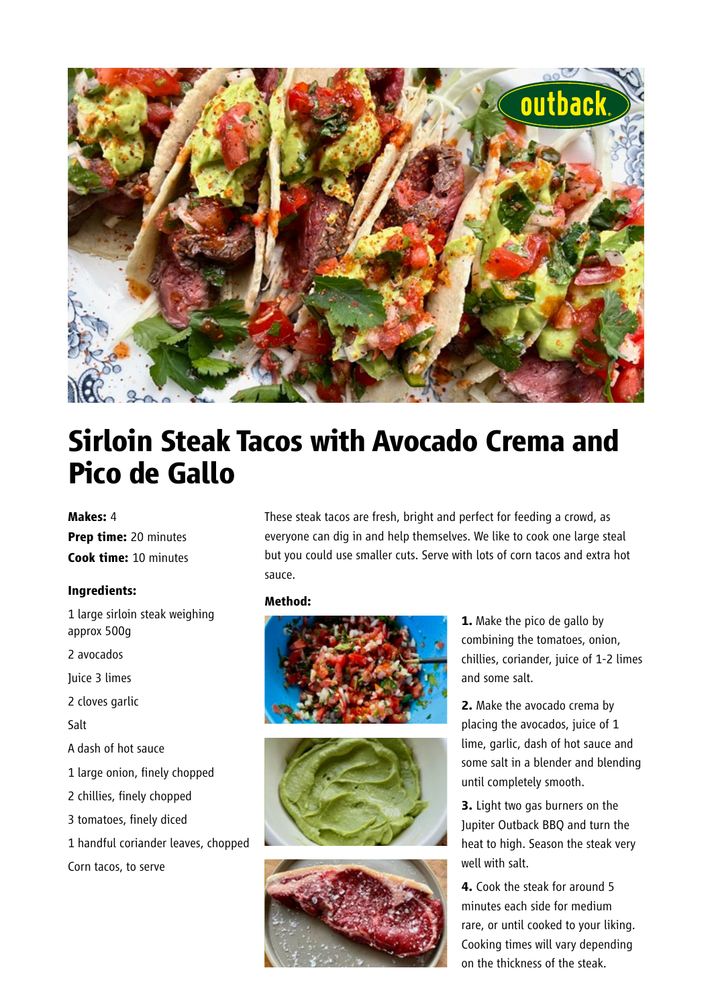

# **Sirloin Steak Tacos with Avocado Crema and Pico de Gallo**

### **Makes:** 4

**Prep time:** 20 minutes **Cook time:** 10 minutes

#### **Ingredients:**

1 large sirloin steak weighing approx 500g 2 avocados Juice 3 limes 2 cloves garlic Salt A dash of hot sauce

- 1 large onion, finely chopped
- 2 chillies, finely chopped
- 3 tomatoes, finely diced
- 1 handful coriander leaves, chopped Corn tacos, to serve

These steak tacos are fresh, bright and perfect for feeding a crowd, as everyone can dig in and help themselves. We like to cook one large steal but you could use smaller cuts. Serve with lots of corn tacos and extra hot sauce.

#### **Method:**







**1.** Make the pico de gallo by combining the tomatoes, onion, chillies, coriander, juice of 1-2 limes and some salt.

**2.** Make the avocado crema by placing the avocados, juice of 1 lime, garlic, dash of hot sauce and some salt in a blender and blending until completely smooth.

**3.** Light two gas burners on the Jupiter Outback BBQ and turn the heat to high. Season the steak very well with salt.

**4.** Cook the steak for around 5 minutes each side for medium rare, or until cooked to your liking. Cooking times will vary depending on the thickness of the steak.